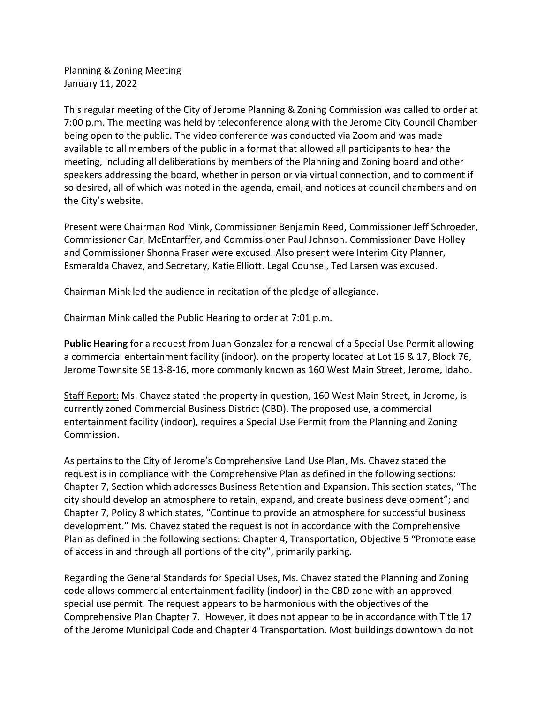Planning & Zoning Meeting January 11, 2022

This regular meeting of the City of Jerome Planning & Zoning Commission was called to order at 7:00 p.m. The meeting was held by teleconference along with the Jerome City Council Chamber being open to the public. The video conference was conducted via Zoom and was made available to all members of the public in a format that allowed all participants to hear the meeting, including all deliberations by members of the Planning and Zoning board and other speakers addressing the board, whether in person or via virtual connection, and to comment if so desired, all of which was noted in the agenda, email, and notices at council chambers and on the City's website.

Present were Chairman Rod Mink, Commissioner Benjamin Reed, Commissioner Jeff Schroeder, Commissioner Carl McEntarffer, and Commissioner Paul Johnson. Commissioner Dave Holley and Commissioner Shonna Fraser were excused. Also present were Interim City Planner, Esmeralda Chavez, and Secretary, Katie Elliott. Legal Counsel, Ted Larsen was excused.

Chairman Mink led the audience in recitation of the pledge of allegiance.

Chairman Mink called the Public Hearing to order at 7:01 p.m.

**Public Hearing** for a request from Juan Gonzalez for a renewal of a Special Use Permit allowing a commercial entertainment facility (indoor), on the property located at Lot 16 & 17, Block 76, Jerome Townsite SE 13-8-16, more commonly known as 160 West Main Street, Jerome, Idaho.

Staff Report: Ms. Chavez stated the property in question, 160 West Main Street, in Jerome, is currently zoned Commercial Business District (CBD). The proposed use, a commercial entertainment facility (indoor), requires a Special Use Permit from the Planning and Zoning Commission.

As pertains to the City of Jerome's Comprehensive Land Use Plan, Ms. Chavez stated the request is in compliance with the Comprehensive Plan as defined in the following sections: Chapter 7, Section which addresses Business Retention and Expansion. This section states, "The city should develop an atmosphere to retain, expand, and create business development"; and Chapter 7, Policy 8 which states, "Continue to provide an atmosphere for successful business development." Ms. Chavez stated the request is not in accordance with the Comprehensive Plan as defined in the following sections: Chapter 4, Transportation, Objective 5 "Promote ease of access in and through all portions of the city", primarily parking.

Regarding the General Standards for Special Uses, Ms. Chavez stated the Planning and Zoning code allows commercial entertainment facility (indoor) in the CBD zone with an approved special use permit. The request appears to be harmonious with the objectives of the Comprehensive Plan Chapter 7. However, it does not appear to be in accordance with Title 17 of the Jerome Municipal Code and Chapter 4 Transportation. Most buildings downtown do not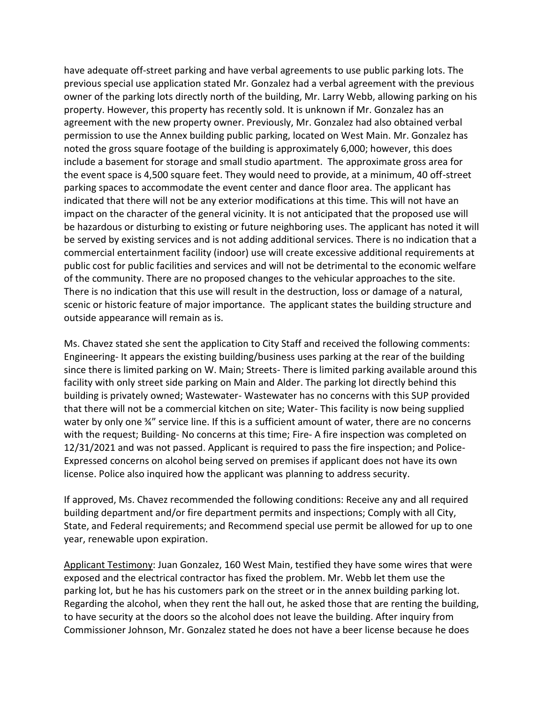have adequate off-street parking and have verbal agreements to use public parking lots. The previous special use application stated Mr. Gonzalez had a verbal agreement with the previous owner of the parking lots directly north of the building, Mr. Larry Webb, allowing parking on his property. However, this property has recently sold. It is unknown if Mr. Gonzalez has an agreement with the new property owner. Previously, Mr. Gonzalez had also obtained verbal permission to use the Annex building public parking, located on West Main. Mr. Gonzalez has noted the gross square footage of the building is approximately 6,000; however, this does include a basement for storage and small studio apartment. The approximate gross area for the event space is 4,500 square feet. They would need to provide, at a minimum, 40 off-street parking spaces to accommodate the event center and dance floor area. The applicant has indicated that there will not be any exterior modifications at this time. This will not have an impact on the character of the general vicinity. It is not anticipated that the proposed use will be hazardous or disturbing to existing or future neighboring uses. The applicant has noted it will be served by existing services and is not adding additional services. There is no indication that a commercial entertainment facility (indoor) use will create excessive additional requirements at public cost for public facilities and services and will not be detrimental to the economic welfare of the community. There are no proposed changes to the vehicular approaches to the site. There is no indication that this use will result in the destruction, loss or damage of a natural, scenic or historic feature of major importance. The applicant states the building structure and outside appearance will remain as is.

Ms. Chavez stated she sent the application to City Staff and received the following comments: Engineering- It appears the existing building/business uses parking at the rear of the building since there is limited parking on W. Main; Streets- There is limited parking available around this facility with only street side parking on Main and Alder. The parking lot directly behind this building is privately owned; Wastewater- Wastewater has no concerns with this SUP provided that there will not be a commercial kitchen on site; Water- This facility is now being supplied water by only one ¾" service line. If this is a sufficient amount of water, there are no concerns with the request; Building- No concerns at this time; Fire- A fire inspection was completed on 12/31/2021 and was not passed. Applicant is required to pass the fire inspection; and Police-Expressed concerns on alcohol being served on premises if applicant does not have its own license. Police also inquired how the applicant was planning to address security.

If approved, Ms. Chavez recommended the following conditions: Receive any and all required building department and/or fire department permits and inspections; Comply with all City, State, and Federal requirements; and Recommend special use permit be allowed for up to one year, renewable upon expiration.

Applicant Testimony: Juan Gonzalez, 160 West Main, testified they have some wires that were exposed and the electrical contractor has fixed the problem. Mr. Webb let them use the parking lot, but he has his customers park on the street or in the annex building parking lot. Regarding the alcohol, when they rent the hall out, he asked those that are renting the building, to have security at the doors so the alcohol does not leave the building. After inquiry from Commissioner Johnson, Mr. Gonzalez stated he does not have a beer license because he does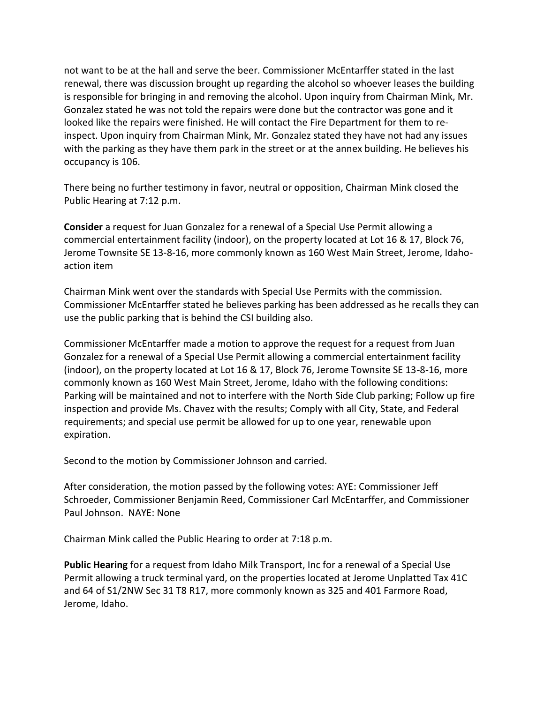not want to be at the hall and serve the beer. Commissioner McEntarffer stated in the last renewal, there was discussion brought up regarding the alcohol so whoever leases the building is responsible for bringing in and removing the alcohol. Upon inquiry from Chairman Mink, Mr. Gonzalez stated he was not told the repairs were done but the contractor was gone and it looked like the repairs were finished. He will contact the Fire Department for them to reinspect. Upon inquiry from Chairman Mink, Mr. Gonzalez stated they have not had any issues with the parking as they have them park in the street or at the annex building. He believes his occupancy is 106.

There being no further testimony in favor, neutral or opposition, Chairman Mink closed the Public Hearing at 7:12 p.m.

**Consider** a request for Juan Gonzalez for a renewal of a Special Use Permit allowing a commercial entertainment facility (indoor), on the property located at Lot 16 & 17, Block 76, Jerome Townsite SE 13-8-16, more commonly known as 160 West Main Street, Jerome, Idahoaction item

Chairman Mink went over the standards with Special Use Permits with the commission. Commissioner McEntarffer stated he believes parking has been addressed as he recalls they can use the public parking that is behind the CSI building also.

Commissioner McEntarffer made a motion to approve the request for a request from Juan Gonzalez for a renewal of a Special Use Permit allowing a commercial entertainment facility (indoor), on the property located at Lot 16 & 17, Block 76, Jerome Townsite SE 13-8-16, more commonly known as 160 West Main Street, Jerome, Idaho with the following conditions: Parking will be maintained and not to interfere with the North Side Club parking; Follow up fire inspection and provide Ms. Chavez with the results; Comply with all City, State, and Federal requirements; and special use permit be allowed for up to one year, renewable upon expiration.

Second to the motion by Commissioner Johnson and carried.

After consideration, the motion passed by the following votes: AYE: Commissioner Jeff Schroeder, Commissioner Benjamin Reed, Commissioner Carl McEntarffer, and Commissioner Paul Johnson. NAYE: None

Chairman Mink called the Public Hearing to order at 7:18 p.m.

**Public Hearing** for a request from Idaho Milk Transport, Inc for a renewal of a Special Use Permit allowing a truck terminal yard, on the properties located at Jerome Unplatted Tax 41C and 64 of S1/2NW Sec 31 T8 R17, more commonly known as 325 and 401 Farmore Road, Jerome, Idaho.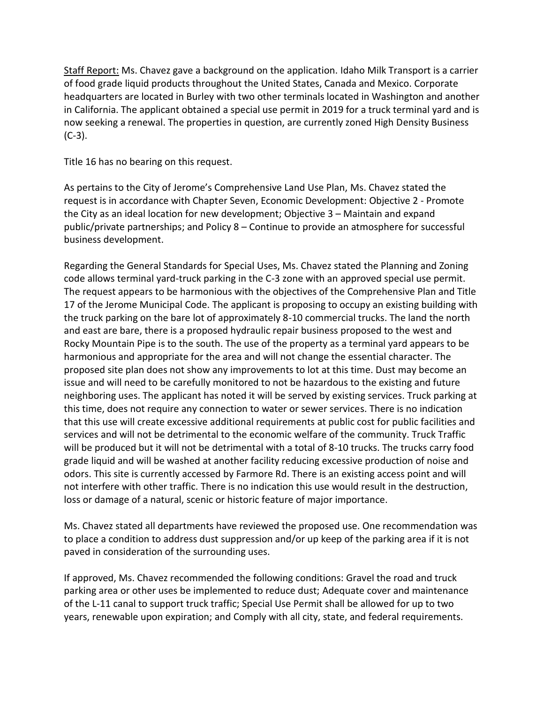Staff Report: Ms. Chavez gave a background on the application. Idaho Milk Transport is a carrier of food grade liquid products throughout the United States, Canada and Mexico. Corporate headquarters are located in Burley with two other terminals located in Washington and another in California. The applicant obtained a special use permit in 2019 for a truck terminal yard and is now seeking a renewal. The properties in question, are currently zoned High Density Business  $(C-3)$ .

Title 16 has no bearing on this request.

As pertains to the City of Jerome's Comprehensive Land Use Plan, Ms. Chavez stated the request is in accordance with Chapter Seven, Economic Development: Objective 2 - Promote the City as an ideal location for new development; Objective 3 – Maintain and expand public/private partnerships; and Policy 8 – Continue to provide an atmosphere for successful business development.

Regarding the General Standards for Special Uses, Ms. Chavez stated the Planning and Zoning code allows terminal yard-truck parking in the C-3 zone with an approved special use permit. The request appears to be harmonious with the objectives of the Comprehensive Plan and Title 17 of the Jerome Municipal Code. The applicant is proposing to occupy an existing building with the truck parking on the bare lot of approximately 8-10 commercial trucks. The land the north and east are bare, there is a proposed hydraulic repair business proposed to the west and Rocky Mountain Pipe is to the south. The use of the property as a terminal yard appears to be harmonious and appropriate for the area and will not change the essential character. The proposed site plan does not show any improvements to lot at this time. Dust may become an issue and will need to be carefully monitored to not be hazardous to the existing and future neighboring uses. The applicant has noted it will be served by existing services. Truck parking at this time, does not require any connection to water or sewer services. There is no indication that this use will create excessive additional requirements at public cost for public facilities and services and will not be detrimental to the economic welfare of the community. Truck Traffic will be produced but it will not be detrimental with a total of 8-10 trucks. The trucks carry food grade liquid and will be washed at another facility reducing excessive production of noise and odors. This site is currently accessed by Farmore Rd. There is an existing access point and will not interfere with other traffic. There is no indication this use would result in the destruction, loss or damage of a natural, scenic or historic feature of major importance.

Ms. Chavez stated all departments have reviewed the proposed use. One recommendation was to place a condition to address dust suppression and/or up keep of the parking area if it is not paved in consideration of the surrounding uses.

If approved, Ms. Chavez recommended the following conditions: Gravel the road and truck parking area or other uses be implemented to reduce dust; Adequate cover and maintenance of the L-11 canal to support truck traffic; Special Use Permit shall be allowed for up to two years, renewable upon expiration; and Comply with all city, state, and federal requirements.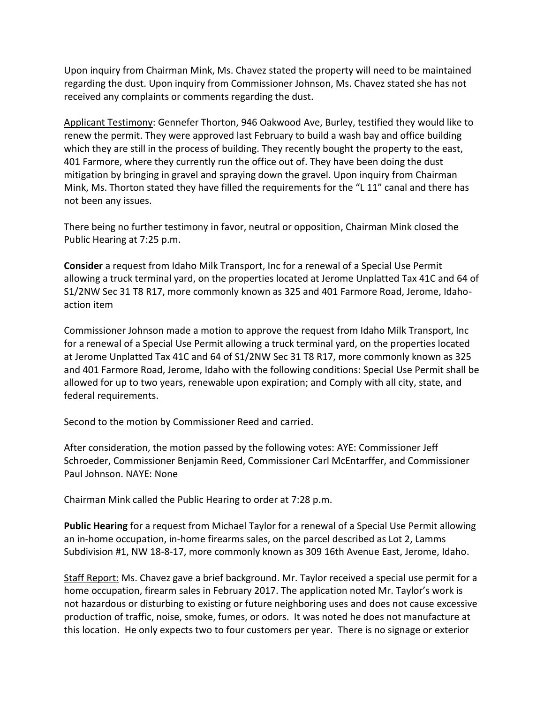Upon inquiry from Chairman Mink, Ms. Chavez stated the property will need to be maintained regarding the dust. Upon inquiry from Commissioner Johnson, Ms. Chavez stated she has not received any complaints or comments regarding the dust.

Applicant Testimony: Gennefer Thorton, 946 Oakwood Ave, Burley, testified they would like to renew the permit. They were approved last February to build a wash bay and office building which they are still in the process of building. They recently bought the property to the east, 401 Farmore, where they currently run the office out of. They have been doing the dust mitigation by bringing in gravel and spraying down the gravel. Upon inquiry from Chairman Mink, Ms. Thorton stated they have filled the requirements for the "L 11" canal and there has not been any issues.

There being no further testimony in favor, neutral or opposition, Chairman Mink closed the Public Hearing at 7:25 p.m.

**Consider** a request from Idaho Milk Transport, Inc for a renewal of a Special Use Permit allowing a truck terminal yard, on the properties located at Jerome Unplatted Tax 41C and 64 of S1/2NW Sec 31 T8 R17, more commonly known as 325 and 401 Farmore Road, Jerome, Idahoaction item

Commissioner Johnson made a motion to approve the request from Idaho Milk Transport, Inc for a renewal of a Special Use Permit allowing a truck terminal yard, on the properties located at Jerome Unplatted Tax 41C and 64 of S1/2NW Sec 31 T8 R17, more commonly known as 325 and 401 Farmore Road, Jerome, Idaho with the following conditions: Special Use Permit shall be allowed for up to two years, renewable upon expiration; and Comply with all city, state, and federal requirements.

Second to the motion by Commissioner Reed and carried.

After consideration, the motion passed by the following votes: AYE: Commissioner Jeff Schroeder, Commissioner Benjamin Reed, Commissioner Carl McEntarffer, and Commissioner Paul Johnson. NAYE: None

Chairman Mink called the Public Hearing to order at 7:28 p.m.

**Public Hearing** for a request from Michael Taylor for a renewal of a Special Use Permit allowing an in-home occupation, in-home firearms sales, on the parcel described as Lot 2, Lamms Subdivision #1, NW 18-8-17, more commonly known as 309 16th Avenue East, Jerome, Idaho.

Staff Report: Ms. Chavez gave a brief background. Mr. Taylor received a special use permit for a home occupation, firearm sales in February 2017. The application noted Mr. Taylor's work is not hazardous or disturbing to existing or future neighboring uses and does not cause excessive production of traffic, noise, smoke, fumes, or odors. It was noted he does not manufacture at this location. He only expects two to four customers per year. There is no signage or exterior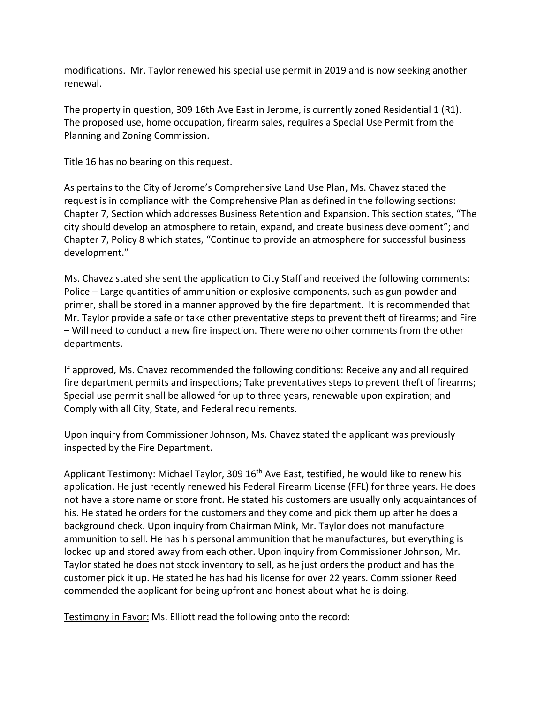modifications. Mr. Taylor renewed his special use permit in 2019 and is now seeking another renewal.

The property in question, 309 16th Ave East in Jerome, is currently zoned Residential 1 (R1). The proposed use, home occupation, firearm sales, requires a Special Use Permit from the Planning and Zoning Commission.

Title 16 has no bearing on this request.

As pertains to the City of Jerome's Comprehensive Land Use Plan, Ms. Chavez stated the request is in compliance with the Comprehensive Plan as defined in the following sections: Chapter 7, Section which addresses Business Retention and Expansion. This section states, "The city should develop an atmosphere to retain, expand, and create business development"; and Chapter 7, Policy 8 which states, "Continue to provide an atmosphere for successful business development."

Ms. Chavez stated she sent the application to City Staff and received the following comments: Police – Large quantities of ammunition or explosive components, such as gun powder and primer, shall be stored in a manner approved by the fire department. It is recommended that Mr. Taylor provide a safe or take other preventative steps to prevent theft of firearms; and Fire – Will need to conduct a new fire inspection. There were no other comments from the other departments.

If approved, Ms. Chavez recommended the following conditions: Receive any and all required fire department permits and inspections; Take preventatives steps to prevent theft of firearms; Special use permit shall be allowed for up to three years, renewable upon expiration; and Comply with all City, State, and Federal requirements.

Upon inquiry from Commissioner Johnson, Ms. Chavez stated the applicant was previously inspected by the Fire Department.

Applicant Testimony: Michael Taylor, 309 16<sup>th</sup> Ave East, testified, he would like to renew his application. He just recently renewed his Federal Firearm License (FFL) for three years. He does not have a store name or store front. He stated his customers are usually only acquaintances of his. He stated he orders for the customers and they come and pick them up after he does a background check. Upon inquiry from Chairman Mink, Mr. Taylor does not manufacture ammunition to sell. He has his personal ammunition that he manufactures, but everything is locked up and stored away from each other. Upon inquiry from Commissioner Johnson, Mr. Taylor stated he does not stock inventory to sell, as he just orders the product and has the customer pick it up. He stated he has had his license for over 22 years. Commissioner Reed commended the applicant for being upfront and honest about what he is doing.

Testimony in Favor: Ms. Elliott read the following onto the record: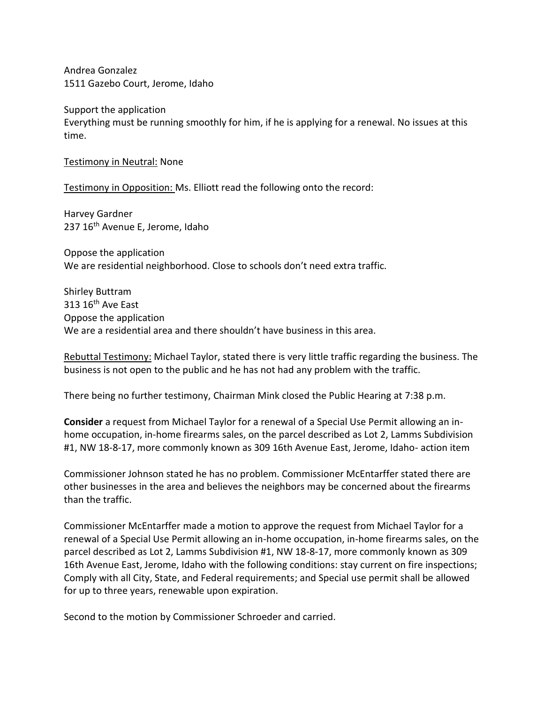Andrea Gonzalez 1511 Gazebo Court, Jerome, Idaho

Support the application Everything must be running smoothly for him, if he is applying for a renewal. No issues at this time.

Testimony in Neutral: None

Testimony in Opposition: Ms. Elliott read the following onto the record:

Harvey Gardner 237 16<sup>th</sup> Avenue E, Jerome, Idaho

Oppose the application We are residential neighborhood. Close to schools don't need extra traffic.

Shirley Buttram  $313 16$ <sup>th</sup> Ave East Oppose the application We are a residential area and there shouldn't have business in this area.

Rebuttal Testimony: Michael Taylor, stated there is very little traffic regarding the business. The business is not open to the public and he has not had any problem with the traffic.

There being no further testimony, Chairman Mink closed the Public Hearing at 7:38 p.m.

**Consider** a request from Michael Taylor for a renewal of a Special Use Permit allowing an inhome occupation, in-home firearms sales, on the parcel described as Lot 2, Lamms Subdivision #1, NW 18-8-17, more commonly known as 309 16th Avenue East, Jerome, Idaho- action item

Commissioner Johnson stated he has no problem. Commissioner McEntarffer stated there are other businesses in the area and believes the neighbors may be concerned about the firearms than the traffic.

Commissioner McEntarffer made a motion to approve the request from Michael Taylor for a renewal of a Special Use Permit allowing an in-home occupation, in-home firearms sales, on the parcel described as Lot 2, Lamms Subdivision #1, NW 18-8-17, more commonly known as 309 16th Avenue East, Jerome, Idaho with the following conditions: stay current on fire inspections; Comply with all City, State, and Federal requirements; and Special use permit shall be allowed for up to three years, renewable upon expiration.

Second to the motion by Commissioner Schroeder and carried.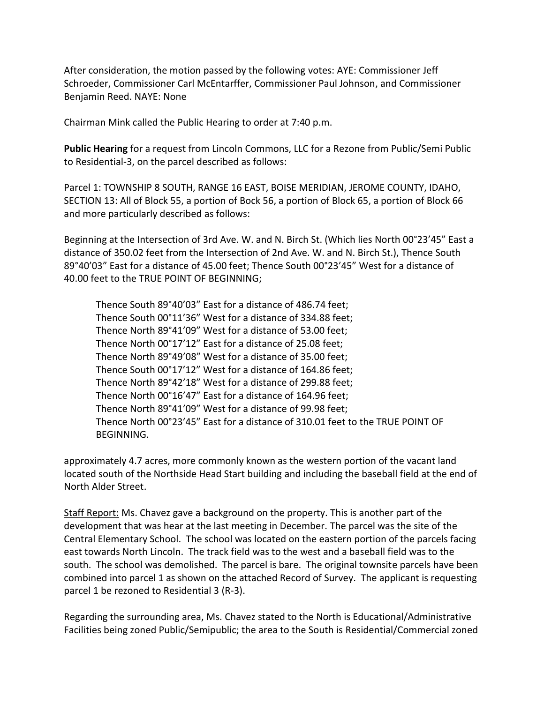After consideration, the motion passed by the following votes: AYE: Commissioner Jeff Schroeder, Commissioner Carl McEntarffer, Commissioner Paul Johnson, and Commissioner Benjamin Reed. NAYE: None

Chairman Mink called the Public Hearing to order at 7:40 p.m.

**Public Hearing** for a request from Lincoln Commons, LLC for a Rezone from Public/Semi Public to Residential-3, on the parcel described as follows:

Parcel 1: TOWNSHIP 8 SOUTH, RANGE 16 EAST, BOISE MERIDIAN, JEROME COUNTY, IDAHO, SECTION 13: All of Block 55, a portion of Bock 56, a portion of Block 65, a portion of Block 66 and more particularly described as follows:

Beginning at the Intersection of 3rd Ave. W. and N. Birch St. (Which lies North 00°23'45" East a distance of 350.02 feet from the Intersection of 2nd Ave. W. and N. Birch St.), Thence South 89°40'03" East for a distance of 45.00 feet; Thence South 00°23'45" West for a distance of 40.00 feet to the TRUE POINT OF BEGINNING;

Thence South 89°40'03" East for a distance of 486.74 feet; Thence South 00°11'36" West for a distance of 334.88 feet; Thence North 89°41'09" West for a distance of 53.00 feet; Thence North 00°17'12" East for a distance of 25.08 feet; Thence North 89°49'08" West for a distance of 35.00 feet; Thence South 00°17'12" West for a distance of 164.86 feet; Thence North 89°42'18" West for a distance of 299.88 feet; Thence North 00°16'47" East for a distance of 164.96 feet; Thence North 89°41'09" West for a distance of 99.98 feet; Thence North 00°23'45" East for a distance of 310.01 feet to the TRUE POINT OF BEGINNING.

approximately 4.7 acres, more commonly known as the western portion of the vacant land located south of the Northside Head Start building and including the baseball field at the end of North Alder Street.

Staff Report: Ms. Chavez gave a background on the property. This is another part of the development that was hear at the last meeting in December. The parcel was the site of the Central Elementary School. The school was located on the eastern portion of the parcels facing east towards North Lincoln. The track field was to the west and a baseball field was to the south. The school was demolished. The parcel is bare. The original townsite parcels have been combined into parcel 1 as shown on the attached Record of Survey. The applicant is requesting parcel 1 be rezoned to Residential 3 (R-3).

Regarding the surrounding area, Ms. Chavez stated to the North is Educational/Administrative Facilities being zoned Public/Semipublic; the area to the South is Residential/Commercial zoned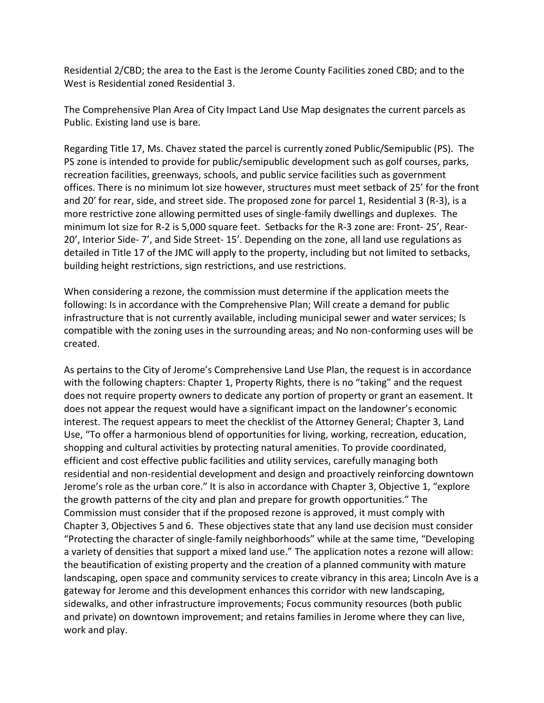Residential 2/CBD; the area to the East is the Jerome County Facilities zoned CBD; and to the West is Residential zoned Residential 3.

The Comprehensive Plan Area of City Impact Land Use Map designates the current parcels as Public. Existing land use is bare.

Regarding Title 17, Ms. Chavez stated the parcel is currently zoned Public/Semipublic (PS). The PS zone is intended to provide for public/semipublic development such as golf courses, parks, recreation facilities, greenways, schools, and public service facilities such as government offices. There is no minimum lot size however, structures must meet setback of 25' for the front and 20' for rear, side, and street side. The proposed zone for parcel 1, Residential 3 (R-3), is a more restrictive zone allowing permitted uses of single-family dwellings and duplexes. The minimum lot size for R-2 is 5,000 square feet. Setbacks for the R-3 zone are: Front- 25', Rear-20', Interior Side- 7', and Side Street- 15'. Depending on the zone, all land use regulations as detailed in Title 17 of the JMC will apply to the property, including but not limited to setbacks, building height restrictions, sign restrictions, and use restrictions.

When considering a rezone, the commission must determine if the application meets the following: Is in accordance with the Comprehensive Plan; Will create a demand for public infrastructure that is not currently available, including municipal sewer and water services; Is compatible with the zoning uses in the surrounding areas; and No non-conforming uses will be created.

As pertains to the City of Jerome's Comprehensive Land Use Plan, the request is in accordance with the following chapters: Chapter 1, Property Rights, there is no "taking" and the request does not require property owners to dedicate any portion of property or grant an easement. It does not appear the request would have a significant impact on the landowner's economic interest. The request appears to meet the checklist of the Attorney General; Chapter 3, Land Use, "To offer a harmonious blend of opportunities for living, working, recreation, education, shopping and cultural activities by protecting natural amenities. To provide coordinated, efficient and cost effective public facilities and utility services, carefully managing both residential and non-residential development and design and proactively reinforcing downtown Jerome's role as the urban core." It is also in accordance with Chapter 3, Objective 1, "explore the growth patterns of the city and plan and prepare for growth opportunities." The Commission must consider that if the proposed rezone is approved, it must comply with Chapter 3, Objectives 5 and 6. These objectives state that any land use decision must consider "Protecting the character of single-family neighborhoods" while at the same time, "Developing a variety of densities that support a mixed land use." The application notes a rezone will allow: the beautification of existing property and the creation of a planned community with mature landscaping, open space and community services to create vibrancy in this area; Lincoln Ave is a gateway for Jerome and this development enhances this corridor with new landscaping, sidewalks, and other infrastructure improvements; Focus community resources (both public and private) on downtown improvement; and retains families in Jerome where they can live, work and play.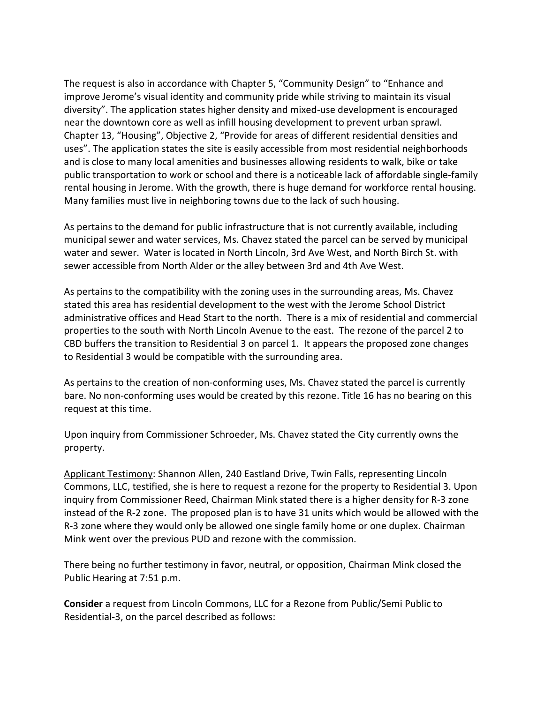The request is also in accordance with Chapter 5, "Community Design" to "Enhance and improve Jerome's visual identity and community pride while striving to maintain its visual diversity". The application states higher density and mixed-use development is encouraged near the downtown core as well as infill housing development to prevent urban sprawl. Chapter 13, "Housing", Objective 2, "Provide for areas of different residential densities and uses". The application states the site is easily accessible from most residential neighborhoods and is close to many local amenities and businesses allowing residents to walk, bike or take public transportation to work or school and there is a noticeable lack of affordable single-family rental housing in Jerome. With the growth, there is huge demand for workforce rental housing. Many families must live in neighboring towns due to the lack of such housing.

As pertains to the demand for public infrastructure that is not currently available, including municipal sewer and water services, Ms. Chavez stated the parcel can be served by municipal water and sewer. Water is located in North Lincoln, 3rd Ave West, and North Birch St. with sewer accessible from North Alder or the alley between 3rd and 4th Ave West.

As pertains to the compatibility with the zoning uses in the surrounding areas, Ms. Chavez stated this area has residential development to the west with the Jerome School District administrative offices and Head Start to the north. There is a mix of residential and commercial properties to the south with North Lincoln Avenue to the east. The rezone of the parcel 2 to CBD buffers the transition to Residential 3 on parcel 1. It appears the proposed zone changes to Residential 3 would be compatible with the surrounding area.

As pertains to the creation of non-conforming uses, Ms. Chavez stated the parcel is currently bare. No non-conforming uses would be created by this rezone. Title 16 has no bearing on this request at this time.

Upon inquiry from Commissioner Schroeder, Ms. Chavez stated the City currently owns the property.

Applicant Testimony: Shannon Allen, 240 Eastland Drive, Twin Falls, representing Lincoln Commons, LLC, testified, she is here to request a rezone for the property to Residential 3. Upon inquiry from Commissioner Reed, Chairman Mink stated there is a higher density for R-3 zone instead of the R-2 zone. The proposed plan is to have 31 units which would be allowed with the R-3 zone where they would only be allowed one single family home or one duplex. Chairman Mink went over the previous PUD and rezone with the commission.

There being no further testimony in favor, neutral, or opposition, Chairman Mink closed the Public Hearing at 7:51 p.m.

**Consider** a request from Lincoln Commons, LLC for a Rezone from Public/Semi Public to Residential-3, on the parcel described as follows: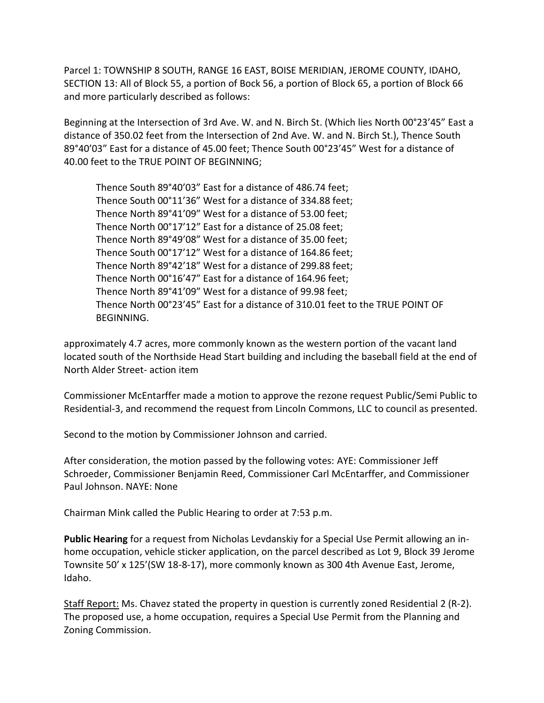Parcel 1: TOWNSHIP 8 SOUTH, RANGE 16 EAST, BOISE MERIDIAN, JEROME COUNTY, IDAHO, SECTION 13: All of Block 55, a portion of Bock 56, a portion of Block 65, a portion of Block 66 and more particularly described as follows:

Beginning at the Intersection of 3rd Ave. W. and N. Birch St. (Which lies North 00°23'45" East a distance of 350.02 feet from the Intersection of 2nd Ave. W. and N. Birch St.), Thence South 89°40'03" East for a distance of 45.00 feet; Thence South 00°23'45" West for a distance of 40.00 feet to the TRUE POINT OF BEGINNING;

Thence South 89°40'03" East for a distance of 486.74 feet; Thence South 00°11'36" West for a distance of 334.88 feet; Thence North 89°41'09" West for a distance of 53.00 feet; Thence North 00°17'12" East for a distance of 25.08 feet; Thence North 89°49'08" West for a distance of 35.00 feet; Thence South 00°17'12" West for a distance of 164.86 feet; Thence North 89°42'18" West for a distance of 299.88 feet; Thence North 00°16'47" East for a distance of 164.96 feet; Thence North 89°41'09" West for a distance of 99.98 feet; Thence North 00°23'45" East for a distance of 310.01 feet to the TRUE POINT OF BEGINNING.

approximately 4.7 acres, more commonly known as the western portion of the vacant land located south of the Northside Head Start building and including the baseball field at the end of North Alder Street- action item

Commissioner McEntarffer made a motion to approve the rezone request Public/Semi Public to Residential-3, and recommend the request from Lincoln Commons, LLC to council as presented.

Second to the motion by Commissioner Johnson and carried.

After consideration, the motion passed by the following votes: AYE: Commissioner Jeff Schroeder, Commissioner Benjamin Reed, Commissioner Carl McEntarffer, and Commissioner Paul Johnson. NAYE: None

Chairman Mink called the Public Hearing to order at 7:53 p.m.

**Public Hearing** for a request from Nicholas Levdanskiy for a Special Use Permit allowing an inhome occupation, vehicle sticker application, on the parcel described as Lot 9, Block 39 Jerome Townsite 50' x 125'(SW 18-8-17), more commonly known as 300 4th Avenue East, Jerome, Idaho.

Staff Report: Ms. Chavez stated the property in question is currently zoned Residential 2 (R-2). The proposed use, a home occupation, requires a Special Use Permit from the Planning and Zoning Commission.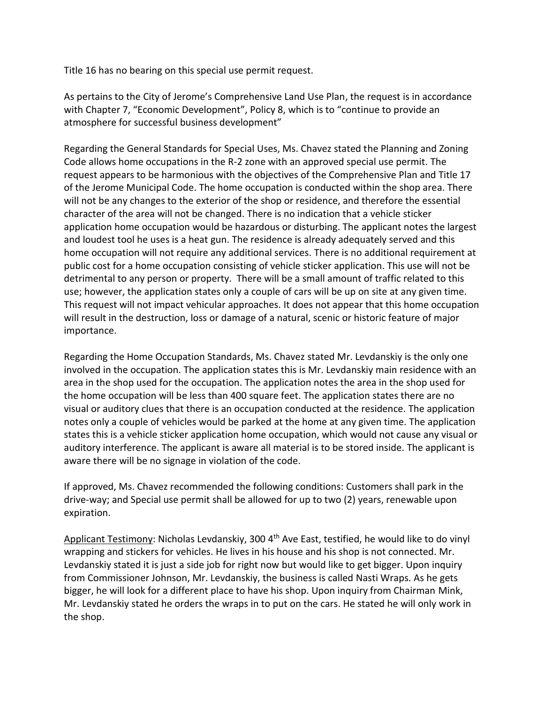Title 16 has no bearing on this special use permit request.

As pertains to the City of Jerome's Comprehensive Land Use Plan, the request is in accordance with Chapter 7, "Economic Development", Policy 8, which is to "continue to provide an atmosphere for successful business development"

Regarding the General Standards for Special Uses, Ms. Chavez stated the Planning and Zoning Code allows home occupations in the R-2 zone with an approved special use permit. The request appears to be harmonious with the objectives of the Comprehensive Plan and Title 17 of the Jerome Municipal Code. The home occupation is conducted within the shop area. There will not be any changes to the exterior of the shop or residence, and therefore the essential character of the area will not be changed. There is no indication that a vehicle sticker application home occupation would be hazardous or disturbing. The applicant notes the largest and loudest tool he uses is a heat gun. The residence is already adequately served and this home occupation will not require any additional services. There is no additional requirement at public cost for a home occupation consisting of vehicle sticker application. This use will not be detrimental to any person or property. There will be a small amount of traffic related to this use; however, the application states only a couple of cars will be up on site at any given time. This request will not impact vehicular approaches. It does not appear that this home occupation will result in the destruction, loss or damage of a natural, scenic or historic feature of major importance.

Regarding the Home Occupation Standards, Ms. Chavez stated Mr. Levdanskiy is the only one involved in the occupation. The application states this is Mr. Levdanskiy main residence with an area in the shop used for the occupation. The application notes the area in the shop used for the home occupation will be less than 400 square feet. The application states there are no visual or auditory clues that there is an occupation conducted at the residence. The application notes only a couple of vehicles would be parked at the home at any given time. The application states this is a vehicle sticker application home occupation, which would not cause any visual or auditory interference. The applicant is aware all material is to be stored inside. The applicant is aware there will be no signage in violation of the code.

If approved, Ms. Chavez recommended the following conditions: Customers shall park in the drive-way; and Special use permit shall be allowed for up to two (2) years, renewable upon expiration.

Applicant Testimony: Nicholas Levdanskiy, 300 4<sup>th</sup> Ave East, testified, he would like to do vinyl wrapping and stickers for vehicles. He lives in his house and his shop is not connected. Mr. Levdanskiy stated it is just a side job for right now but would like to get bigger. Upon inquiry from Commissioner Johnson, Mr. Levdanskiy, the business is called Nasti Wraps. As he gets bigger, he will look for a different place to have his shop. Upon inquiry from Chairman Mink, Mr. Levdanskiy stated he orders the wraps in to put on the cars. He stated he will only work in the shop.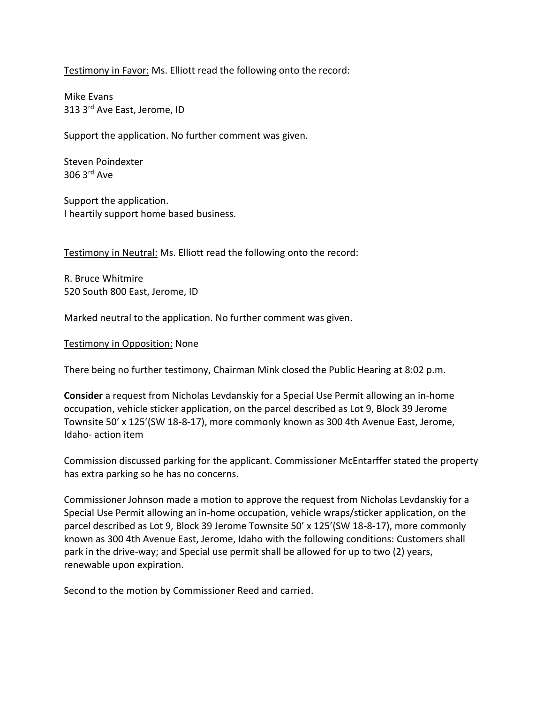Testimony in Favor: Ms. Elliott read the following onto the record:

Mike Evans 313 3rd Ave East, Jerome, ID

Support the application. No further comment was given.

Steven Poindexter 306 3rd Ave

Support the application. I heartily support home based business.

Testimony in Neutral: Ms. Elliott read the following onto the record:

R. Bruce Whitmire 520 South 800 East, Jerome, ID

Marked neutral to the application. No further comment was given.

Testimony in Opposition: None

There being no further testimony, Chairman Mink closed the Public Hearing at 8:02 p.m.

**Consider** a request from Nicholas Levdanskiy for a Special Use Permit allowing an in-home occupation, vehicle sticker application, on the parcel described as Lot 9, Block 39 Jerome Townsite 50' x 125'(SW 18-8-17), more commonly known as 300 4th Avenue East, Jerome, Idaho- action item

Commission discussed parking for the applicant. Commissioner McEntarffer stated the property has extra parking so he has no concerns.

Commissioner Johnson made a motion to approve the request from Nicholas Levdanskiy for a Special Use Permit allowing an in-home occupation, vehicle wraps/sticker application, on the parcel described as Lot 9, Block 39 Jerome Townsite 50' x 125'(SW 18-8-17), more commonly known as 300 4th Avenue East, Jerome, Idaho with the following conditions: Customers shall park in the drive-way; and Special use permit shall be allowed for up to two (2) years, renewable upon expiration.

Second to the motion by Commissioner Reed and carried.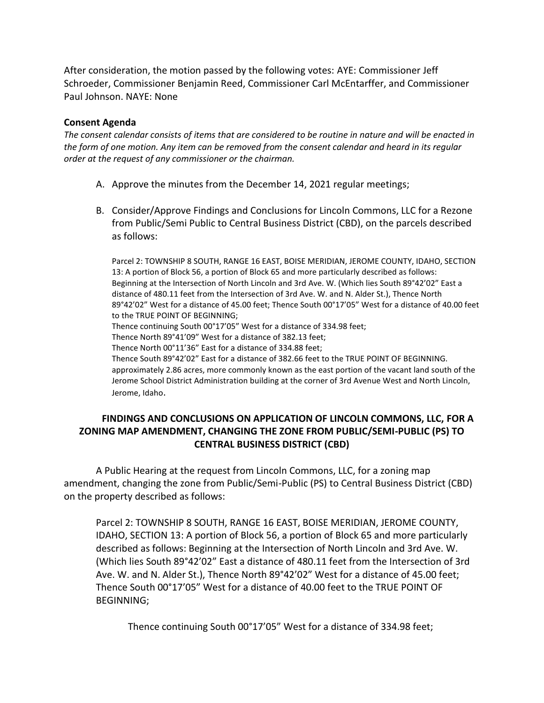After consideration, the motion passed by the following votes: AYE: Commissioner Jeff Schroeder, Commissioner Benjamin Reed, Commissioner Carl McEntarffer, and Commissioner Paul Johnson. NAYE: None

#### **Consent Agenda**

*The consent calendar consists of items that are considered to be routine in nature and will be enacted in the form of one motion. Any item can be removed from the consent calendar and heard in its regular order at the request of any commissioner or the chairman.* 

- A. Approve the minutes from the December 14, 2021 regular meetings;
- B. Consider/Approve Findings and Conclusions for Lincoln Commons, LLC for a Rezone from Public/Semi Public to Central Business District (CBD), on the parcels described as follows:

Parcel 2: TOWNSHIP 8 SOUTH, RANGE 16 EAST, BOISE MERIDIAN, JEROME COUNTY, IDAHO, SECTION 13: A portion of Block 56, a portion of Block 65 and more particularly described as follows: Beginning at the Intersection of North Lincoln and 3rd Ave. W. (Which lies South 89°42'02" East a distance of 480.11 feet from the Intersection of 3rd Ave. W. and N. Alder St.), Thence North 89°42'02" West for a distance of 45.00 feet; Thence South 00°17'05" West for a distance of 40.00 feet to the TRUE POINT OF BEGINNING; Thence continuing South 00°17'05" West for a distance of 334.98 feet;

Thence North 89°41'09" West for a distance of 382.13 feet;

Thence North 00°11'36" East for a distance of 334.88 feet;

Thence South 89°42'02" East for a distance of 382.66 feet to the TRUE POINT OF BEGINNING. approximately 2.86 acres, more commonly known as the east portion of the vacant land south of the Jerome School District Administration building at the corner of 3rd Avenue West and North Lincoln, Jerome, Idaho.

### **FINDINGS AND CONCLUSIONS ON APPLICATION OF LINCOLN COMMONS, LLC, FOR A ZONING MAP AMENDMENT, CHANGING THE ZONE FROM PUBLIC/SEMI-PUBLIC (PS) TO CENTRAL BUSINESS DISTRICT (CBD)**

A Public Hearing at the request from Lincoln Commons, LLC, for a zoning map amendment, changing the zone from Public/Semi-Public (PS) to Central Business District (CBD) on the property described as follows:

Parcel 2: TOWNSHIP 8 SOUTH, RANGE 16 EAST, BOISE MERIDIAN, JEROME COUNTY, IDAHO, SECTION 13: A portion of Block 56, a portion of Block 65 and more particularly described as follows: Beginning at the Intersection of North Lincoln and 3rd Ave. W. (Which lies South 89°42'02" East a distance of 480.11 feet from the Intersection of 3rd Ave. W. and N. Alder St.), Thence North 89°42'02" West for a distance of 45.00 feet; Thence South 00°17'05" West for a distance of 40.00 feet to the TRUE POINT OF BEGINNING;

Thence continuing South 00°17'05" West for a distance of 334.98 feet;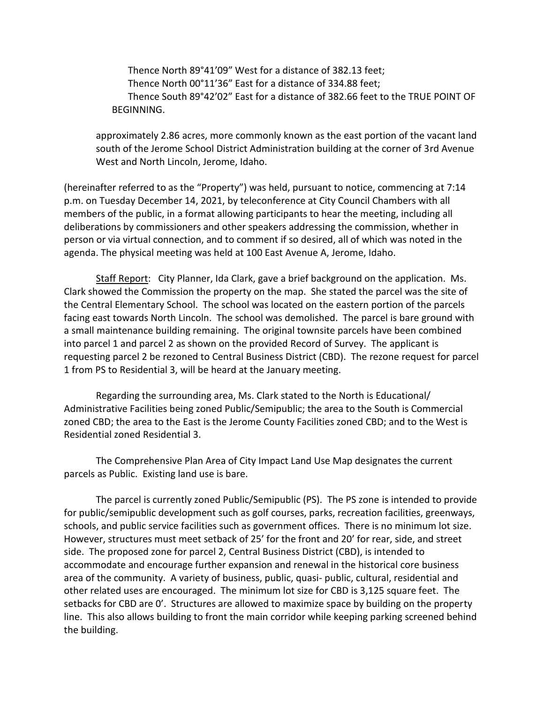Thence North 89°41'09" West for a distance of 382.13 feet; Thence North 00°11'36" East for a distance of 334.88 feet; Thence South 89°42'02" East for a distance of 382.66 feet to the TRUE POINT OF BEGINNING.

approximately 2.86 acres, more commonly known as the east portion of the vacant land south of the Jerome School District Administration building at the corner of 3rd Avenue West and North Lincoln, Jerome, Idaho.

(hereinafter referred to as the "Property") was held, pursuant to notice, commencing at 7:14 p.m. on Tuesday December 14, 2021, by teleconference at City Council Chambers with all members of the public, in a format allowing participants to hear the meeting, including all deliberations by commissioners and other speakers addressing the commission, whether in person or via virtual connection, and to comment if so desired, all of which was noted in the agenda. The physical meeting was held at 100 East Avenue A, Jerome, Idaho.

Staff Report: City Planner, Ida Clark, gave a brief background on the application. Ms. Clark showed the Commission the property on the map. She stated the parcel was the site of the Central Elementary School. The school was located on the eastern portion of the parcels facing east towards North Lincoln. The school was demolished. The parcel is bare ground with a small maintenance building remaining. The original townsite parcels have been combined into parcel 1 and parcel 2 as shown on the provided Record of Survey. The applicant is requesting parcel 2 be rezoned to Central Business District (CBD). The rezone request for parcel 1 from PS to Residential 3, will be heard at the January meeting.

Regarding the surrounding area, Ms. Clark stated to the North is Educational/ Administrative Facilities being zoned Public/Semipublic; the area to the South is Commercial zoned CBD; the area to the East is the Jerome County Facilities zoned CBD; and to the West is Residential zoned Residential 3.

The Comprehensive Plan Area of City Impact Land Use Map designates the current parcels as Public. Existing land use is bare.

The parcel is currently zoned Public/Semipublic (PS). The PS zone is intended to provide for public/semipublic development such as golf courses, parks, recreation facilities, greenways, schools, and public service facilities such as government offices. There is no minimum lot size. However, structures must meet setback of 25' for the front and 20' for rear, side, and street side. The proposed zone for parcel 2, Central Business District (CBD), is intended to accommodate and encourage further expansion and renewal in the historical core business area of the community. A variety of business, public, quasi- public, cultural, residential and other related uses are encouraged. The minimum lot size for CBD is 3,125 square feet. The setbacks for CBD are 0'. Structures are allowed to maximize space by building on the property line. This also allows building to front the main corridor while keeping parking screened behind the building.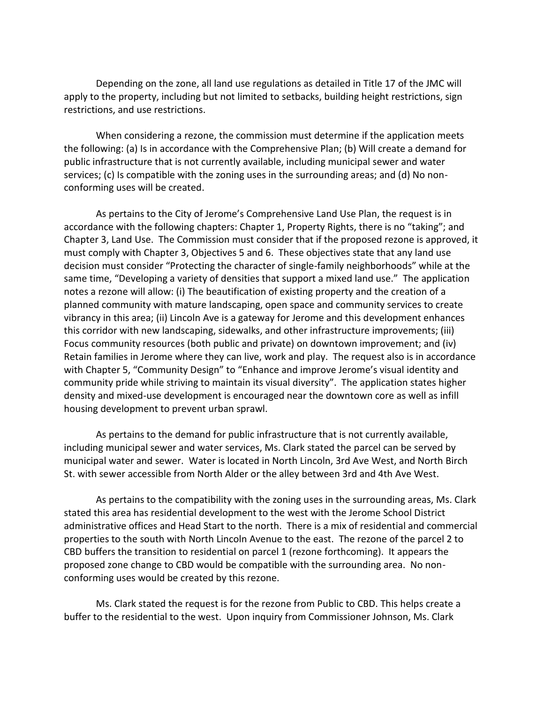Depending on the zone, all land use regulations as detailed in Title 17 of the JMC will apply to the property, including but not limited to setbacks, building height restrictions, sign restrictions, and use restrictions.

When considering a rezone, the commission must determine if the application meets the following: (a) Is in accordance with the Comprehensive Plan; (b) Will create a demand for public infrastructure that is not currently available, including municipal sewer and water services; (c) Is compatible with the zoning uses in the surrounding areas; and (d) No nonconforming uses will be created.

As pertains to the City of Jerome's Comprehensive Land Use Plan, the request is in accordance with the following chapters: Chapter 1, Property Rights, there is no "taking"; and Chapter 3, Land Use. The Commission must consider that if the proposed rezone is approved, it must comply with Chapter 3, Objectives 5 and 6. These objectives state that any land use decision must consider "Protecting the character of single-family neighborhoods" while at the same time, "Developing a variety of densities that support a mixed land use." The application notes a rezone will allow: (i) The beautification of existing property and the creation of a planned community with mature landscaping, open space and community services to create vibrancy in this area; (ii) Lincoln Ave is a gateway for Jerome and this development enhances this corridor with new landscaping, sidewalks, and other infrastructure improvements; (iii) Focus community resources (both public and private) on downtown improvement; and (iv) Retain families in Jerome where they can live, work and play. The request also is in accordance with Chapter 5, "Community Design" to "Enhance and improve Jerome's visual identity and community pride while striving to maintain its visual diversity". The application states higher density and mixed-use development is encouraged near the downtown core as well as infill housing development to prevent urban sprawl.

As pertains to the demand for public infrastructure that is not currently available, including municipal sewer and water services, Ms. Clark stated the parcel can be served by municipal water and sewer. Water is located in North Lincoln, 3rd Ave West, and North Birch St. with sewer accessible from North Alder or the alley between 3rd and 4th Ave West.

As pertains to the compatibility with the zoning uses in the surrounding areas, Ms. Clark stated this area has residential development to the west with the Jerome School District administrative offices and Head Start to the north. There is a mix of residential and commercial properties to the south with North Lincoln Avenue to the east. The rezone of the parcel 2 to CBD buffers the transition to residential on parcel 1 (rezone forthcoming). It appears the proposed zone change to CBD would be compatible with the surrounding area. No nonconforming uses would be created by this rezone.

Ms. Clark stated the request is for the rezone from Public to CBD. This helps create a buffer to the residential to the west. Upon inquiry from Commissioner Johnson, Ms. Clark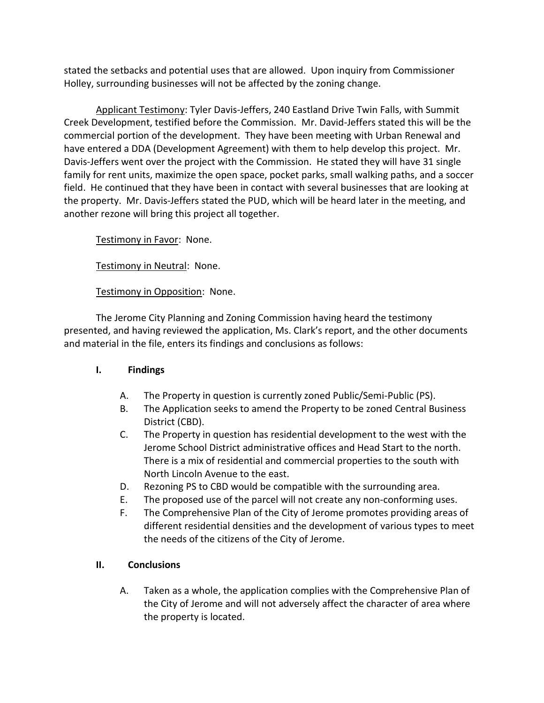stated the setbacks and potential uses that are allowed. Upon inquiry from Commissioner Holley, surrounding businesses will not be affected by the zoning change.

Applicant Testimony: Tyler Davis-Jeffers, 240 Eastland Drive Twin Falls, with Summit Creek Development, testified before the Commission. Mr. David-Jeffers stated this will be the commercial portion of the development. They have been meeting with Urban Renewal and have entered a DDA (Development Agreement) with them to help develop this project. Mr. Davis-Jeffers went over the project with the Commission. He stated they will have 31 single family for rent units, maximize the open space, pocket parks, small walking paths, and a soccer field. He continued that they have been in contact with several businesses that are looking at the property. Mr. Davis-Jeffers stated the PUD, which will be heard later in the meeting, and another rezone will bring this project all together.

Testimony in Favor: None.

Testimony in Neutral: None.

## Testimony in Opposition: None.

The Jerome City Planning and Zoning Commission having heard the testimony presented, and having reviewed the application, Ms. Clark's report, and the other documents and material in the file, enters its findings and conclusions as follows:

### **I. Findings**

- A. The Property in question is currently zoned Public/Semi-Public (PS).
- B. The Application seeks to amend the Property to be zoned Central Business District (CBD).
- C. The Property in question has residential development to the west with the Jerome School District administrative offices and Head Start to the north. There is a mix of residential and commercial properties to the south with North Lincoln Avenue to the east.
- D. Rezoning PS to CBD would be compatible with the surrounding area.
- E. The proposed use of the parcel will not create any non-conforming uses.
- F. The Comprehensive Plan of the City of Jerome promotes providing areas of different residential densities and the development of various types to meet the needs of the citizens of the City of Jerome.

### **II. Conclusions**

A. Taken as a whole, the application complies with the Comprehensive Plan of the City of Jerome and will not adversely affect the character of area where the property is located.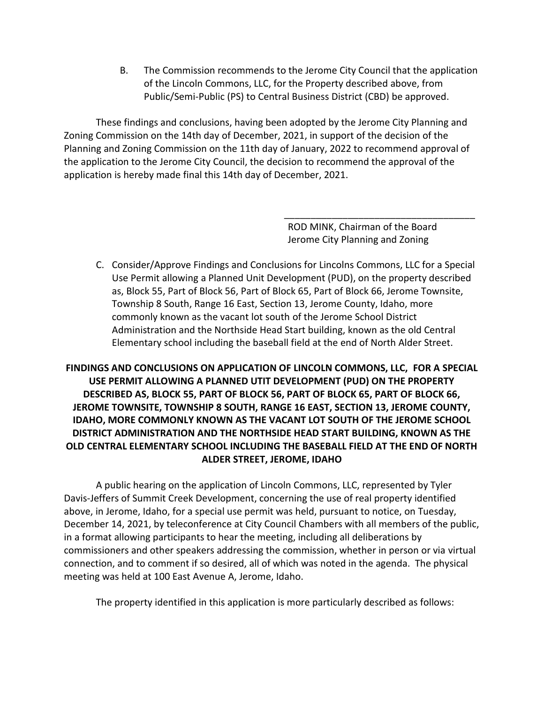B. The Commission recommends to the Jerome City Council that the application of the Lincoln Commons, LLC, for the Property described above, from Public/Semi-Public (PS) to Central Business District (CBD) be approved.

These findings and conclusions, having been adopted by the Jerome City Planning and Zoning Commission on the 14th day of December, 2021, in support of the decision of the Planning and Zoning Commission on the 11th day of January, 2022 to recommend approval of the application to the Jerome City Council, the decision to recommend the approval of the application is hereby made final this 14th day of December, 2021.

> ROD MINK, Chairman of the Board Jerome City Planning and Zoning

\_\_\_\_\_\_\_\_\_\_\_\_\_\_\_\_\_\_\_\_\_\_\_\_\_\_\_\_\_\_\_\_\_\_\_\_

C. Consider/Approve Findings and Conclusions for Lincolns Commons, LLC for a Special Use Permit allowing a Planned Unit Development (PUD), on the property described as, Block 55, Part of Block 56, Part of Block 65, Part of Block 66, Jerome Townsite, Township 8 South, Range 16 East, Section 13, Jerome County, Idaho, more commonly known as the vacant lot south of the Jerome School District Administration and the Northside Head Start building, known as the old Central Elementary school including the baseball field at the end of North Alder Street.

# **FINDINGS AND CONCLUSIONS ON APPLICATION OF LINCOLN COMMONS, LLC, FOR A SPECIAL USE PERMIT ALLOWING A PLANNED UTIT DEVELOPMENT (PUD) ON THE PROPERTY DESCRIBED AS, BLOCK 55, PART OF BLOCK 56, PART OF BLOCK 65, PART OF BLOCK 66, JEROME TOWNSITE, TOWNSHIP 8 SOUTH, RANGE 16 EAST, SECTION 13, JEROME COUNTY, IDAHO, MORE COMMONLY KNOWN AS THE VACANT LOT SOUTH OF THE JEROME SCHOOL DISTRICT ADMINISTRATION AND THE NORTHSIDE HEAD START BUILDING, KNOWN AS THE OLD CENTRAL ELEMENTARY SCHOOL INCLUDING THE BASEBALL FIELD AT THE END OF NORTH ALDER STREET, JEROME, IDAHO**

A public hearing on the application of Lincoln Commons, LLC, represented by Tyler Davis-Jeffers of Summit Creek Development, concerning the use of real property identified above, in Jerome, Idaho, for a special use permit was held, pursuant to notice, on Tuesday, December 14, 2021, by teleconference at City Council Chambers with all members of the public, in a format allowing participants to hear the meeting, including all deliberations by commissioners and other speakers addressing the commission, whether in person or via virtual connection, and to comment if so desired, all of which was noted in the agenda. The physical meeting was held at 100 East Avenue A, Jerome, Idaho.

The property identified in this application is more particularly described as follows: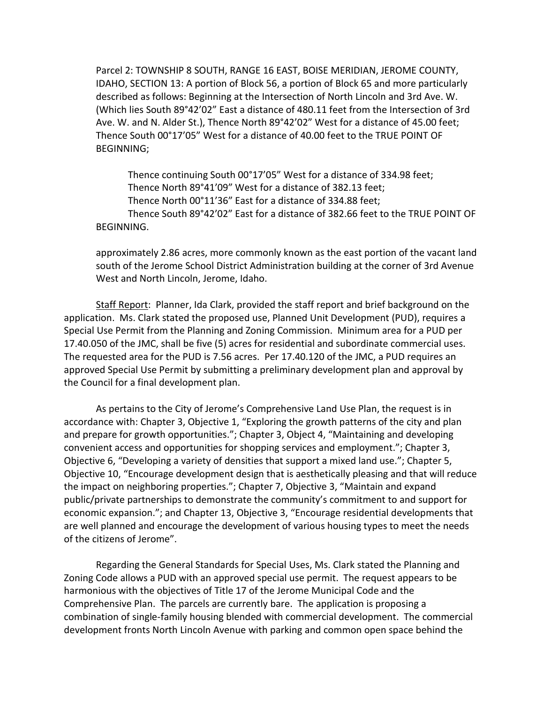Parcel 2: TOWNSHIP 8 SOUTH, RANGE 16 EAST, BOISE MERIDIAN, JEROME COUNTY, IDAHO, SECTION 13: A portion of Block 56, a portion of Block 65 and more particularly described as follows: Beginning at the Intersection of North Lincoln and 3rd Ave. W. (Which lies South 89°42'02" East a distance of 480.11 feet from the Intersection of 3rd Ave. W. and N. Alder St.), Thence North 89°42'02" West for a distance of 45.00 feet; Thence South 00°17'05" West for a distance of 40.00 feet to the TRUE POINT OF BEGINNING;

Thence continuing South 00°17'05" West for a distance of 334.98 feet; Thence North 89°41'09" West for a distance of 382.13 feet; Thence North 00°11'36" East for a distance of 334.88 feet; Thence South 89°42'02" East for a distance of 382.66 feet to the TRUE POINT OF BEGINNING.

approximately 2.86 acres, more commonly known as the east portion of the vacant land south of the Jerome School District Administration building at the corner of 3rd Avenue West and North Lincoln, Jerome, Idaho.

Staff Report: Planner, Ida Clark, provided the staff report and brief background on the application. Ms. Clark stated the proposed use, Planned Unit Development (PUD), requires a Special Use Permit from the Planning and Zoning Commission. Minimum area for a PUD per 17.40.050 of the JMC, shall be five (5) acres for residential and subordinate commercial uses. The requested area for the PUD is 7.56 acres. Per 17.40.120 of the JMC, a PUD requires an approved Special Use Permit by submitting a preliminary development plan and approval by the Council for a final development plan.

As pertains to the City of Jerome's Comprehensive Land Use Plan, the request is in accordance with: Chapter 3, Objective 1, "Exploring the growth patterns of the city and plan and prepare for growth opportunities."; Chapter 3, Object 4, "Maintaining and developing convenient access and opportunities for shopping services and employment."; Chapter 3, Objective 6, "Developing a variety of densities that support a mixed land use."; Chapter 5, Objective 10, "Encourage development design that is aesthetically pleasing and that will reduce the impact on neighboring properties."; Chapter 7, Objective 3, "Maintain and expand public/private partnerships to demonstrate the community's commitment to and support for economic expansion."; and Chapter 13, Objective 3, "Encourage residential developments that are well planned and encourage the development of various housing types to meet the needs of the citizens of Jerome".

Regarding the General Standards for Special Uses, Ms. Clark stated the Planning and Zoning Code allows a PUD with an approved special use permit. The request appears to be harmonious with the objectives of Title 17 of the Jerome Municipal Code and the Comprehensive Plan. The parcels are currently bare. The application is proposing a combination of single-family housing blended with commercial development. The commercial development fronts North Lincoln Avenue with parking and common open space behind the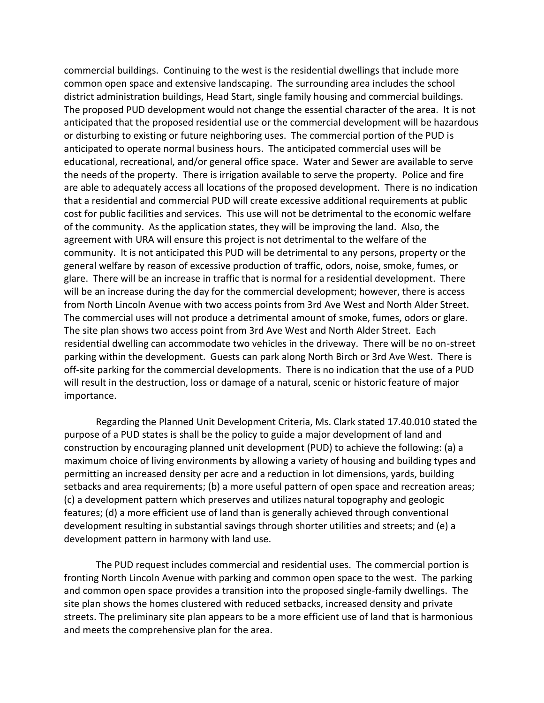commercial buildings. Continuing to the west is the residential dwellings that include more common open space and extensive landscaping. The surrounding area includes the school district administration buildings, Head Start, single family housing and commercial buildings. The proposed PUD development would not change the essential character of the area. It is not anticipated that the proposed residential use or the commercial development will be hazardous or disturbing to existing or future neighboring uses. The commercial portion of the PUD is anticipated to operate normal business hours. The anticipated commercial uses will be educational, recreational, and/or general office space. Water and Sewer are available to serve the needs of the property. There is irrigation available to serve the property. Police and fire are able to adequately access all locations of the proposed development. There is no indication that a residential and commercial PUD will create excessive additional requirements at public cost for public facilities and services. This use will not be detrimental to the economic welfare of the community. As the application states, they will be improving the land. Also, the agreement with URA will ensure this project is not detrimental to the welfare of the community. It is not anticipated this PUD will be detrimental to any persons, property or the general welfare by reason of excessive production of traffic, odors, noise, smoke, fumes, or glare. There will be an increase in traffic that is normal for a residential development. There will be an increase during the day for the commercial development; however, there is access from North Lincoln Avenue with two access points from 3rd Ave West and North Alder Street. The commercial uses will not produce a detrimental amount of smoke, fumes, odors or glare. The site plan shows two access point from 3rd Ave West and North Alder Street. Each residential dwelling can accommodate two vehicles in the driveway. There will be no on-street parking within the development. Guests can park along North Birch or 3rd Ave West. There is off-site parking for the commercial developments. There is no indication that the use of a PUD will result in the destruction, loss or damage of a natural, scenic or historic feature of major importance.

Regarding the Planned Unit Development Criteria, Ms. Clark stated 17.40.010 stated the purpose of a PUD states is shall be the policy to guide a major development of land and construction by encouraging planned unit development (PUD) to achieve the following: (a) a maximum choice of living environments by allowing a variety of housing and building types and permitting an increased density per acre and a reduction in lot dimensions, yards, building setbacks and area requirements; (b) a more useful pattern of open space and recreation areas; (c) a development pattern which preserves and utilizes natural topography and geologic features; (d) a more efficient use of land than is generally achieved through conventional development resulting in substantial savings through shorter utilities and streets; and (e) a development pattern in harmony with land use.

The PUD request includes commercial and residential uses. The commercial portion is fronting North Lincoln Avenue with parking and common open space to the west. The parking and common open space provides a transition into the proposed single-family dwellings. The site plan shows the homes clustered with reduced setbacks, increased density and private streets. The preliminary site plan appears to be a more efficient use of land that is harmonious and meets the comprehensive plan for the area.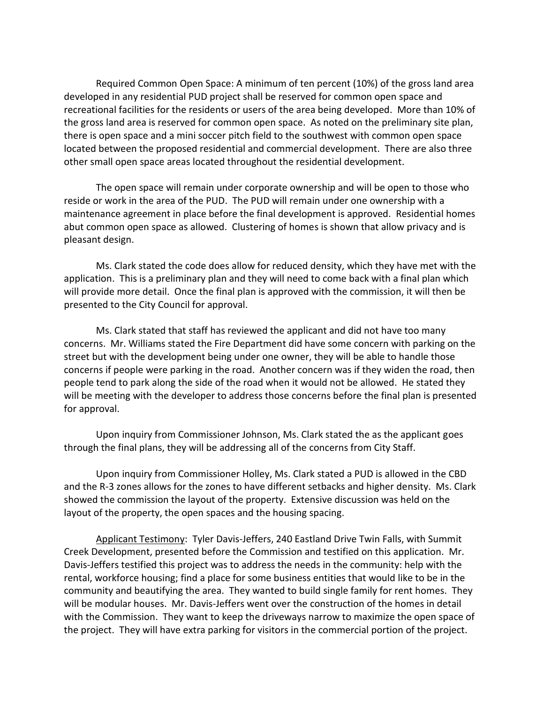Required Common Open Space: A minimum of ten percent (10%) of the gross land area developed in any residential PUD project shall be reserved for common open space and recreational facilities for the residents or users of the area being developed. More than 10% of the gross land area is reserved for common open space. As noted on the preliminary site plan, there is open space and a mini soccer pitch field to the southwest with common open space located between the proposed residential and commercial development. There are also three other small open space areas located throughout the residential development.

The open space will remain under corporate ownership and will be open to those who reside or work in the area of the PUD. The PUD will remain under one ownership with a maintenance agreement in place before the final development is approved. Residential homes abut common open space as allowed. Clustering of homes is shown that allow privacy and is pleasant design.

Ms. Clark stated the code does allow for reduced density, which they have met with the application. This is a preliminary plan and they will need to come back with a final plan which will provide more detail. Once the final plan is approved with the commission, it will then be presented to the City Council for approval.

Ms. Clark stated that staff has reviewed the applicant and did not have too many concerns. Mr. Williams stated the Fire Department did have some concern with parking on the street but with the development being under one owner, they will be able to handle those concerns if people were parking in the road. Another concern was if they widen the road, then people tend to park along the side of the road when it would not be allowed. He stated they will be meeting with the developer to address those concerns before the final plan is presented for approval.

Upon inquiry from Commissioner Johnson, Ms. Clark stated the as the applicant goes through the final plans, they will be addressing all of the concerns from City Staff.

Upon inquiry from Commissioner Holley, Ms. Clark stated a PUD is allowed in the CBD and the R-3 zones allows for the zones to have different setbacks and higher density. Ms. Clark showed the commission the layout of the property. Extensive discussion was held on the layout of the property, the open spaces and the housing spacing.

Applicant Testimony: Tyler Davis-Jeffers, 240 Eastland Drive Twin Falls, with Summit Creek Development, presented before the Commission and testified on this application. Mr. Davis-Jeffers testified this project was to address the needs in the community: help with the rental, workforce housing; find a place for some business entities that would like to be in the community and beautifying the area. They wanted to build single family for rent homes. They will be modular houses. Mr. Davis-Jeffers went over the construction of the homes in detail with the Commission. They want to keep the driveways narrow to maximize the open space of the project. They will have extra parking for visitors in the commercial portion of the project.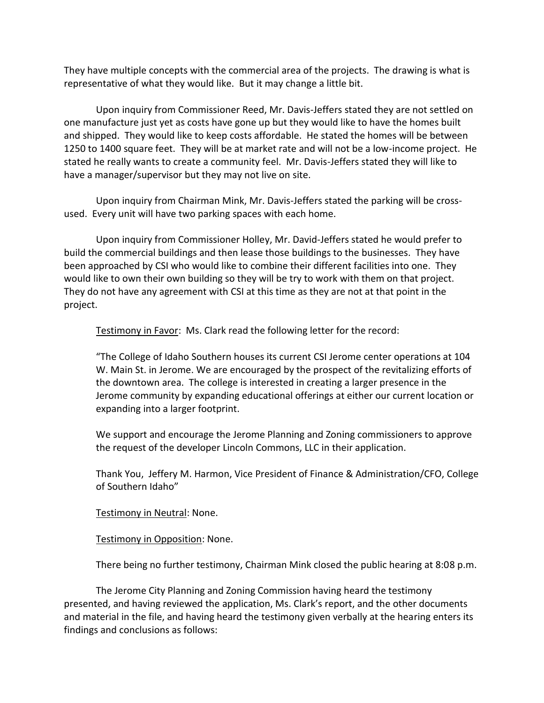They have multiple concepts with the commercial area of the projects. The drawing is what is representative of what they would like. But it may change a little bit.

Upon inquiry from Commissioner Reed, Mr. Davis-Jeffers stated they are not settled on one manufacture just yet as costs have gone up but they would like to have the homes built and shipped. They would like to keep costs affordable. He stated the homes will be between 1250 to 1400 square feet. They will be at market rate and will not be a low-income project. He stated he really wants to create a community feel. Mr. Davis-Jeffers stated they will like to have a manager/supervisor but they may not live on site.

Upon inquiry from Chairman Mink, Mr. Davis-Jeffers stated the parking will be crossused. Every unit will have two parking spaces with each home.

Upon inquiry from Commissioner Holley, Mr. David-Jeffers stated he would prefer to build the commercial buildings and then lease those buildings to the businesses. They have been approached by CSI who would like to combine their different facilities into one. They would like to own their own building so they will be try to work with them on that project. They do not have any agreement with CSI at this time as they are not at that point in the project.

Testimony in Favor: Ms. Clark read the following letter for the record:

"The College of Idaho Southern houses its current CSI Jerome center operations at 104 W. Main St. in Jerome. We are encouraged by the prospect of the revitalizing efforts of the downtown area. The college is interested in creating a larger presence in the Jerome community by expanding educational offerings at either our current location or expanding into a larger footprint.

We support and encourage the Jerome Planning and Zoning commissioners to approve the request of the developer Lincoln Commons, LLC in their application.

Thank You, Jeffery M. Harmon, Vice President of Finance & Administration/CFO, College of Southern Idaho"

Testimony in Neutral: None.

Testimony in Opposition: None.

There being no further testimony, Chairman Mink closed the public hearing at 8:08 p.m.

The Jerome City Planning and Zoning Commission having heard the testimony presented, and having reviewed the application, Ms. Clark's report, and the other documents and material in the file, and having heard the testimony given verbally at the hearing enters its findings and conclusions as follows: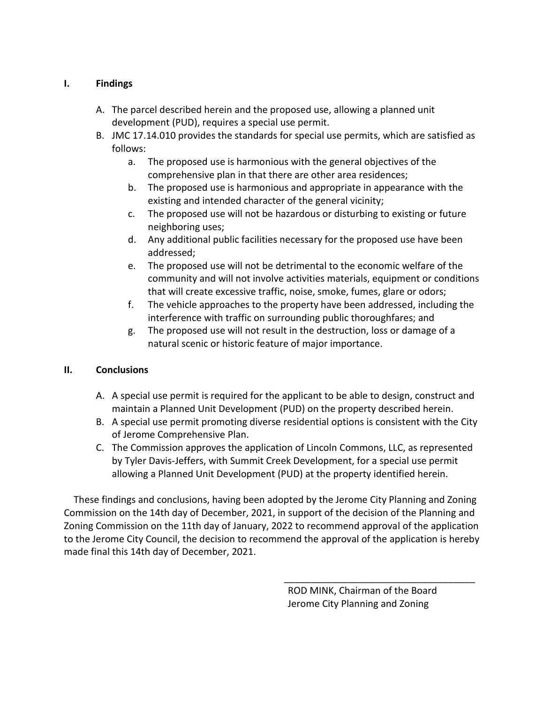### **I. Findings**

- A. The parcel described herein and the proposed use, allowing a planned unit development (PUD), requires a special use permit.
- B. JMC 17.14.010 provides the standards for special use permits, which are satisfied as follows:
	- a. The proposed use is harmonious with the general objectives of the comprehensive plan in that there are other area residences;
	- b. The proposed use is harmonious and appropriate in appearance with the existing and intended character of the general vicinity;
	- c. The proposed use will not be hazardous or disturbing to existing or future neighboring uses;
	- d. Any additional public facilities necessary for the proposed use have been addressed;
	- e. The proposed use will not be detrimental to the economic welfare of the community and will not involve activities materials, equipment or conditions that will create excessive traffic, noise, smoke, fumes, glare or odors;
	- f. The vehicle approaches to the property have been addressed, including the interference with traffic on surrounding public thoroughfares; and
	- g. The proposed use will not result in the destruction, loss or damage of a natural scenic or historic feature of major importance.

### **II. Conclusions**

- A. A special use permit is required for the applicant to be able to design, construct and maintain a Planned Unit Development (PUD) on the property described herein.
- B. A special use permit promoting diverse residential options is consistent with the City of Jerome Comprehensive Plan.
- C. The Commission approves the application of Lincoln Commons, LLC, as represented by Tyler Davis-Jeffers, with Summit Creek Development, for a special use permit allowing a Planned Unit Development (PUD) at the property identified herein.

These findings and conclusions, having been adopted by the Jerome City Planning and Zoning Commission on the 14th day of December, 2021, in support of the decision of the Planning and Zoning Commission on the 11th day of January, 2022 to recommend approval of the application to the Jerome City Council, the decision to recommend the approval of the application is hereby made final this 14th day of December, 2021.

> ROD MINK, Chairman of the Board Jerome City Planning and Zoning

\_\_\_\_\_\_\_\_\_\_\_\_\_\_\_\_\_\_\_\_\_\_\_\_\_\_\_\_\_\_\_\_\_\_\_\_